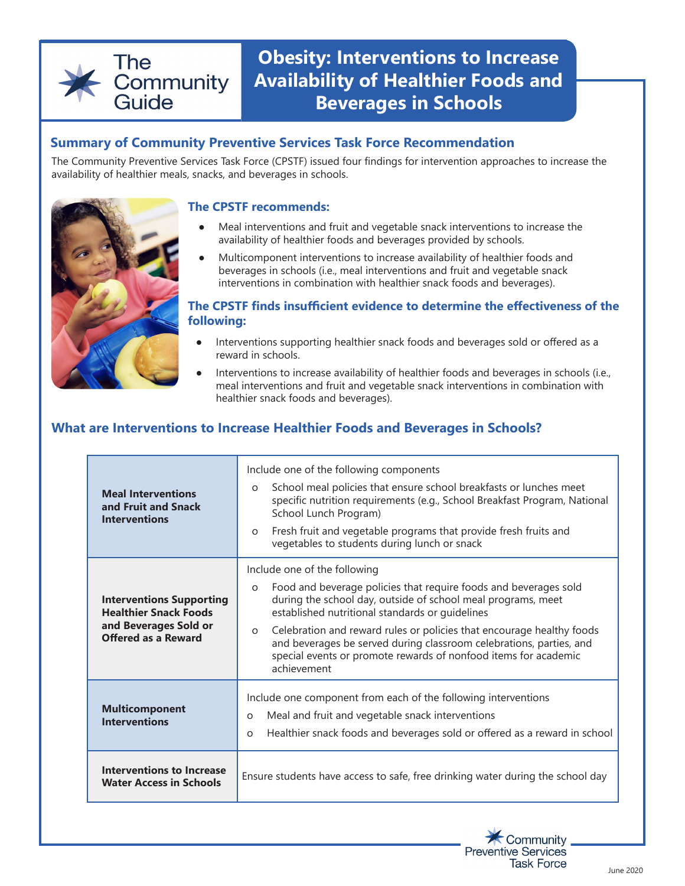# The Community Guide

# **Obesity: Interventions to Increase Availability of Healthier Foods and Beverages in Schools**

# **Summary of Community Preventive Services Task Force Recommendation**

The Community Preventive Services Task Force (CPSTF) issued four findings for intervention approaches to increase the availability of healthier meals, snacks, and beverages in schools.



#### **The CPSTF recommends:**

- Meal interventions and fruit and vegetable snack interventions to increase the availability of healthier foods and beverages provided by schools.
- Multicomponent interventions to increase availability of healthier foods and beverages in schools (i.e., meal interventions and fruit and vegetable snack interventions in combination with healthier snack foods and beverages).

#### **The CPSTF finds insufficient evidence to determine the effectiveness of the following:**

- Interventions supporting healthier snack foods and beverages sold or offered as a reward in schools.
- Interventions to increase availability of healthier foods and beverages in schools (i.e., meal interventions and fruit and vegetable snack interventions in combination with healthier snack foods and beverages).

# **What are Interventions to Increase Healthier Foods and Beverages in Schools?**

| <b>Meal Interventions</b><br>and Fruit and Snack<br><b>Interventions</b>                                               | Include one of the following components<br>School meal policies that ensure school breakfasts or lunches meet<br>$\circ$<br>specific nutrition requirements (e.g., School Breakfast Program, National<br>School Lunch Program)<br>Fresh fruit and vegetable programs that provide fresh fruits and<br>$\circ$<br>vegetables to students during lunch or snack                                                                                                               |
|------------------------------------------------------------------------------------------------------------------------|-----------------------------------------------------------------------------------------------------------------------------------------------------------------------------------------------------------------------------------------------------------------------------------------------------------------------------------------------------------------------------------------------------------------------------------------------------------------------------|
| <b>Interventions Supporting</b><br><b>Healthier Snack Foods</b><br>and Beverages Sold or<br><b>Offered as a Reward</b> | Include one of the following<br>Food and beverage policies that require foods and beverages sold<br>$\circ$<br>during the school day, outside of school meal programs, meet<br>established nutritional standards or guidelines<br>Celebration and reward rules or policies that encourage healthy foods<br>$\circ$<br>and beverages be served during classroom celebrations, parties, and<br>special events or promote rewards of nonfood items for academic<br>achievement |
| <b>Multicomponent</b><br><b>Interventions</b>                                                                          | Include one component from each of the following interventions<br>Meal and fruit and vegetable snack interventions<br>$\Omega$<br>Healthier snack foods and beverages sold or offered as a reward in school<br>$\Omega$                                                                                                                                                                                                                                                     |
| <b>Interventions to Increase</b><br><b>Water Access in Schools</b>                                                     | Ensure students have access to safe, free drinking water during the school day                                                                                                                                                                                                                                                                                                                                                                                              |